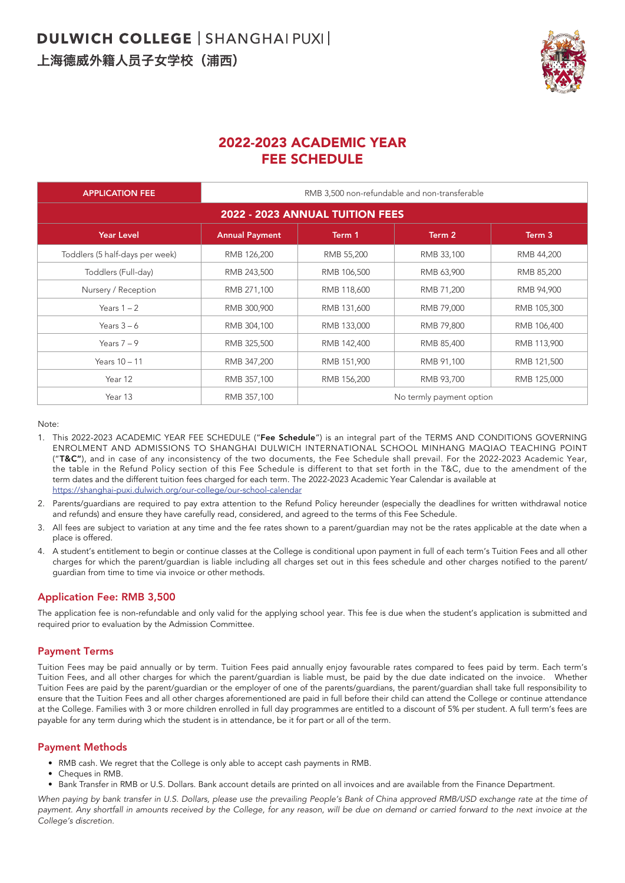

# 2022-2023 ACADEMIC YEAR FEE SCHEDULE

| <b>APPLICATION FEE</b>          | RMB 3,500 non-refundable and non-transferable |                          |            |             |  |  |
|---------------------------------|-----------------------------------------------|--------------------------|------------|-------------|--|--|
| 2022 - 2023 ANNUAL TUITION FEES |                                               |                          |            |             |  |  |
| <b>Year Level</b>               | <b>Annual Payment</b>                         | Term 1                   | Term 2     | Term 3      |  |  |
| Toddlers (5 half-days per week) | RMB 126,200                                   | RMB 55,200               | RMB 33,100 | RMB 44,200  |  |  |
| Toddlers (Full-day)             | RMB 243,500                                   | RMB 106,500              | RMB 63,900 | RMB 85,200  |  |  |
| Nursery / Reception             | RMB 271,100                                   | RMB 118,600              | RMB 71,200 | RMB 94,900  |  |  |
| Years $1 - 2$                   | RMB 300,900                                   | RMB 131,600              | RMB 79,000 | RMB 105,300 |  |  |
| Years $3-6$                     | RMB 304,100                                   | RMB 133,000              | RMB 79,800 | RMB 106,400 |  |  |
| Years $7-9$                     | RMB 325,500                                   | RMB 142,400              | RMB 85,400 | RMB 113,900 |  |  |
| Years 10 - 11                   | RMB 347,200                                   | RMB 151,900              | RMB 91,100 | RMB 121,500 |  |  |
| Year 12                         | RMB 357,100                                   | RMB 156,200              | RMB 93,700 | RMB 125,000 |  |  |
| Year 13                         | RMB 357,100                                   | No termly payment option |            |             |  |  |

Note:

- 1. This 2022-2023 ACADEMIC YEAR FEE SCHEDULE ("Fee Schedule") is an integral part of the TERMS AND CONDITIONS GOVERNING ENROLMENT AND ADMISSIONS TO SHANGHAI DULWICH INTERNATIONAL SCHOOL MINHANG MAQIAO TEACHING POINT ("T&C"), and in case of any inconsistency of the two documents, the Fee Schedule shall prevail. For the 2022-2023 Academic Year, the table in the Refund Policy section of this Fee Schedule is different to that set forth in the T&C, due to the amendment of the term dates and the different tuition fees charged for each term. The 2022-2023 Academic Year Calendar is available at https://shanghai-puxi.dulwich.org/our-college/our-school-calendar
- 2. Parents/guardians are required to pay extra attention to the Refund Policy hereunder (especially the deadlines for written withdrawal notice and refunds) and ensure they have carefully read, considered, and agreed to the terms of this Fee Schedule.
- 3. All fees are subject to variation at any time and the fee rates shown to a parent/guardian may not be the rates applicable at the date when a place is offered.
- 4. A student's entitlement to begin or continue classes at the College is conditional upon payment in full of each term's Tuition Fees and all other charges for which the parent/guardian is liable including all charges set out in this fees schedule and other charges notified to the parent/ guardian from time to time via invoice or other methods.

# Application Fee: RMB 3,500

The application fee is non-refundable and only valid for the applying school year. This fee is due when the student's application is submitted and required prior to evaluation by the Admission Committee.

# Payment Terms

Tuition Fees may be paid annually or by term. Tuition Fees paid annually enjoy favourable rates compared to fees paid by term. Each term's Tuition Fees, and all other charges for which the parent/guardian is liable must, be paid by the due date indicated on the invoice. Whether Tuition Fees are paid by the parent/guardian or the employer of one of the parents/guardians, the parent/guardian shall take full responsibility to ensure that the Tuition Fees and all other charges aforementioned are paid in full before their child can attend the College or continue attendance at the College. Families with 3 or more children enrolled in full day programmes are entitled to a discount of 5% per student. A full term's fees are payable for any term during which the student is in attendance, be it for part or all of the term.

#### Payment Methods

- RMB cash. We regret that the College is only able to accept cash payments in RMB.
- Cheques in RMB.
- Bank Transfer in RMB or U.S. Dollars. Bank account details are printed on all invoices and are available from the Finance Department.

*When paying by bank transfer in U.S. Dollars, please use the prevailing People's Bank of China approved RMB/USD exchange rate at the time of* payment. Any shortfall in amounts received by the College, for any reason, will be due on demand or carried forward to the next invoice at the *College's discretion.*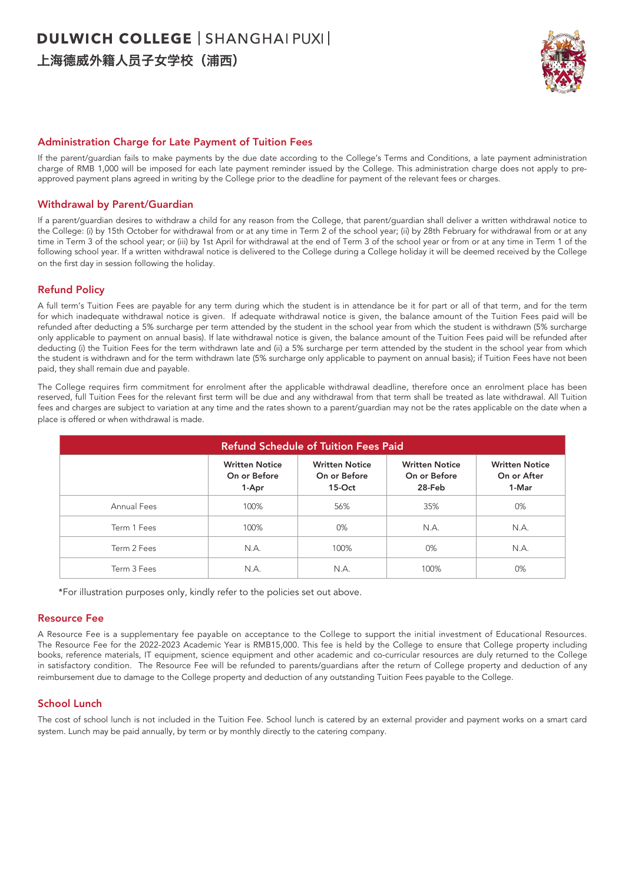# **DULWICH COLLEGE | SHANGHAI PUXI |** 上海德威外籍人员子女学校(浦西)



### Administration Charge for Late Payment of Tuition Fees

If the parent/guardian fails to make payments by the due date according to the College's Terms and Conditions, a late payment administration charge of RMB 1,000 will be imposed for each late payment reminder issued by the College. This administration charge does not apply to preapproved payment plans agreed in writing by the College prior to the deadline for payment of the relevant fees or charges.

#### Withdrawal by Parent/Guardian

If a parent/guardian desires to withdraw a child for any reason from the College, that parent/guardian shall deliver a written withdrawal notice to the College: (i) by 15th October for withdrawal from or at any time in Term 2 of the school year; (ii) by 28th February for withdrawal from or at any time in Term 3 of the school year; or (iii) by 1st April for withdrawal at the end of Term 3 of the school year or from or at any time in Term 1 of the following school year. If a written withdrawal notice is delivered to the College during a College holiday it will be deemed received by the College on the first day in session following the holiday.

#### Refund Policy

A full term's Tuition Fees are payable for any term during which the student is in attendance be it for part or all of that term, and for the term for which inadequate withdrawal notice is given. If adequate withdrawal notice is given, the balance amount of the Tuition Fees paid will be refunded after deducting a 5% surcharge per term attended by the student in the school year from which the student is withdrawn (5% surcharge only applicable to payment on annual basis). If late withdrawal notice is given, the balance amount of the Tuition Fees paid will be refunded after deducting (i) the Tuition Fees for the term withdrawn late and (ii) a 5% surcharge per term attended by the student in the school year from which the student is withdrawn and for the term withdrawn late (5% surcharge only applicable to payment on annual basis); if Tuition Fees have not been paid, they shall remain due and payable.

The College requires firm commitment for enrolment after the applicable withdrawal deadline, therefore once an enrolment place has been reserved, full Tuition Fees for the relevant first term will be due and any withdrawal from that term shall be treated as late withdrawal. All Tuition fees and charges are subject to variation at any time and the rates shown to a parent/guardian may not be the rates applicable on the date when a place is offered or when withdrawal is made.

| <b>Refund Schedule of Tuition Fees Paid</b> |                                                |                                                   |                                                 |                                               |  |  |
|---------------------------------------------|------------------------------------------------|---------------------------------------------------|-------------------------------------------------|-----------------------------------------------|--|--|
|                                             | <b>Written Notice</b><br>On or Before<br>1-Apr | <b>Written Notice</b><br>On or Before<br>$15-Oct$ | <b>Written Notice</b><br>On or Before<br>28-Feb | <b>Written Notice</b><br>On or After<br>1-Mar |  |  |
| Annual Fees                                 | 100%                                           | 56%                                               | 35%<br>N.A.<br>$0\%$                            | 0%                                            |  |  |
| Term 1 Fees                                 | 100%                                           | 0%                                                |                                                 | N.A.                                          |  |  |
| Term 2 Fees                                 | N.A.                                           | 100%                                              |                                                 | N.A.                                          |  |  |
| Term 3 Fees                                 | N.A.                                           | N.A.                                              | 100%                                            | 0%                                            |  |  |

\*For illustration purposes only, kindly refer to the policies set out above.

#### Resource Fee

A Resource Fee is a supplementary fee payable on acceptance to the College to support the initial investment of Educational Resources. The Resource Fee for the 2022-2023 Academic Year is RMB15,000. This fee is held by the College to ensure that College property including books, reference materials, IT equipment, science equipment and other academic and co-curricular resources are duly returned to the College in satisfactory condition. The Resource Fee will be refunded to parents/guardians after the return of College property and deduction of any reimbursement due to damage to the College property and deduction of any outstanding Tuition Fees payable to the College.

#### School Lunch

The cost of school lunch is not included in the Tuition Fee. School lunch is catered by an external provider and payment works on a smart card system. Lunch may be paid annually, by term or by monthly directly to the catering company.